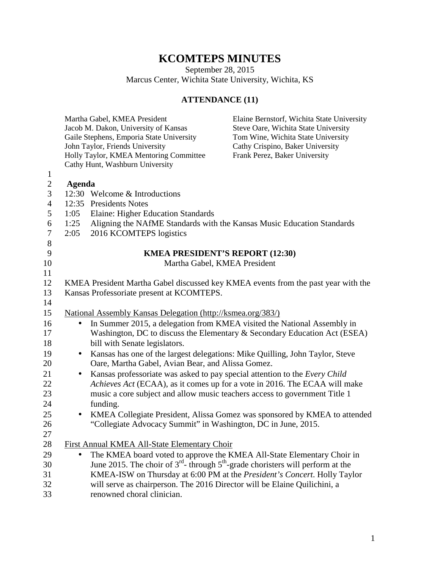## **KCOMTEPS MINUTES**

September 28, 2015

Marcus Center, Wichita State University, Wichita, KS

## **ATTENDANCE (11)**

|                |                                                                                   | Martha Gabel, KMEA President                                                              | Elaine Bernstorf, Wichita State University                                |  |  |
|----------------|-----------------------------------------------------------------------------------|-------------------------------------------------------------------------------------------|---------------------------------------------------------------------------|--|--|
|                |                                                                                   | Jacob M. Dakon, University of Kansas                                                      | Steve Oare, Wichita State University                                      |  |  |
|                |                                                                                   | Gaile Stephens, Emporia State University                                                  | Tom Wine, Wichita State University                                        |  |  |
|                |                                                                                   | John Taylor, Friends University                                                           | Cathy Crispino, Baker University                                          |  |  |
|                |                                                                                   | Holly Taylor, KMEA Mentoring Committee                                                    | Frank Perez, Baker University                                             |  |  |
|                |                                                                                   | Cathy Hunt, Washburn University                                                           |                                                                           |  |  |
| $\mathbf{1}$   |                                                                                   |                                                                                           |                                                                           |  |  |
| $\overline{c}$ | Agenda                                                                            |                                                                                           |                                                                           |  |  |
| 3              |                                                                                   | 12:30 Welcome & Introductions                                                             |                                                                           |  |  |
| $\overline{4}$ |                                                                                   | 12:35 Presidents Notes                                                                    |                                                                           |  |  |
| 5              | 1:05                                                                              | Elaine: Higher Education Standards                                                        |                                                                           |  |  |
| 6              | 1:25                                                                              | Aligning the NAfME Standards with the Kansas Music Education Standards                    |                                                                           |  |  |
| $\overline{7}$ | 2:05                                                                              | 2016 KCOMTEPS logistics                                                                   |                                                                           |  |  |
| 8              |                                                                                   |                                                                                           |                                                                           |  |  |
| 9              |                                                                                   | <b>KMEA PRESIDENT'S REPORT (12:30)</b>                                                    |                                                                           |  |  |
| 10             |                                                                                   | Martha Gabel, KMEA President                                                              |                                                                           |  |  |
| 11             |                                                                                   |                                                                                           |                                                                           |  |  |
| 12             | KMEA President Martha Gabel discussed key KMEA events from the past year with the |                                                                                           |                                                                           |  |  |
| 13             |                                                                                   | Kansas Professoriate present at KCOMTEPS.                                                 |                                                                           |  |  |
| 14             |                                                                                   |                                                                                           |                                                                           |  |  |
| 15             |                                                                                   | National Assembly Kansas Delegation (http://ksmea.org/383/)                               |                                                                           |  |  |
| 16             | $\bullet$                                                                         | In Summer 2015, a delegation from KMEA visited the National Assembly in                   |                                                                           |  |  |
| 17             |                                                                                   |                                                                                           | Washington, DC to discuss the Elementary & Secondary Education Act (ESEA) |  |  |
| 18             |                                                                                   | bill with Senate legislators.                                                             |                                                                           |  |  |
| 19             | $\bullet$                                                                         | Kansas has one of the largest delegations: Mike Quilling, John Taylor, Steve              |                                                                           |  |  |
| 20             |                                                                                   | Oare, Martha Gabel, Avian Bear, and Alissa Gomez.                                         |                                                                           |  |  |
| 21             | $\bullet$                                                                         | Kansas professoriate was asked to pay special attention to the Every Child                |                                                                           |  |  |
| 22             |                                                                                   | Achieves Act (ECAA), as it comes up for a vote in 2016. The ECAA will make                |                                                                           |  |  |
| 23             |                                                                                   | music a core subject and allow music teachers access to government Title 1                |                                                                           |  |  |
| 24             |                                                                                   | funding.                                                                                  |                                                                           |  |  |
| 25             | $\bullet$                                                                         |                                                                                           | KMEA Collegiate President, Alissa Gomez was sponsored by KMEA to attended |  |  |
| 26             |                                                                                   | "Collegiate Advocacy Summit" in Washington, DC in June, 2015.                             |                                                                           |  |  |
| 27             |                                                                                   |                                                                                           |                                                                           |  |  |
| 28             |                                                                                   | First Annual KMEA All-State Elementary Choir                                              |                                                                           |  |  |
| 29             | $\bullet$                                                                         | The KMEA board voted to approve the KMEA All-State Elementary Choir in                    |                                                                           |  |  |
| 30             |                                                                                   | June 2015. The choir of $3^{rd}$ - through $5^{th}$ -grade choristers will perform at the |                                                                           |  |  |
| 31             |                                                                                   | KMEA-ISW on Thursday at 6:00 PM at the President's Concert. Holly Taylor                  |                                                                           |  |  |
| 32             |                                                                                   | will serve as chairperson. The 2016 Director will be Elaine Quilichini, a                 |                                                                           |  |  |
| 33             |                                                                                   | renowned choral clinician.                                                                |                                                                           |  |  |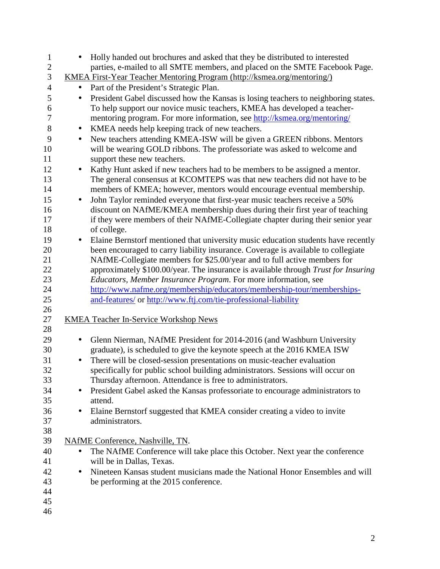| $\mathbf{1}$   | Holly handed out brochures and asked that they be distributed to interested<br>$\bullet$        |
|----------------|-------------------------------------------------------------------------------------------------|
| $\mathbf{2}$   | parties, e-mailed to all SMTE members, and placed on the SMTE Facebook Page.                    |
| $\mathfrak{Z}$ | <u>KMEA First-Year Teacher Mentoring Program (http://ksmea.org/mentoring/)</u>                  |
| $\overline{4}$ | Part of the President's Strategic Plan.<br>$\bullet$                                            |
| 5              | President Gabel discussed how the Kansas is losing teachers to neighboring states.<br>$\bullet$ |
| 6              | To help support our novice music teachers, KMEA has developed a teacher-                        |
| $\tau$         | mentoring program. For more information, see http://ksmea.org/mentoring/                        |
| 8              | KMEA needs help keeping track of new teachers.<br>$\bullet$                                     |
| 9              | New teachers attending KMEA-ISW will be given a GREEN ribbons. Mentors<br>$\bullet$             |
| 10             | will be wearing GOLD ribbons. The professoriate was asked to welcome and                        |
| 11             | support these new teachers.                                                                     |
| 12             | Kathy Hunt asked if new teachers had to be members to be assigned a mentor.                     |
| 13             | The general consensus at KCOMTEPS was that new teachers did not have to be                      |
| 14             | members of KMEA; however, mentors would encourage eventual membership.                          |
| 15             | John Taylor reminded everyone that first-year music teachers receive a 50%<br>$\bullet$         |
| 16             | discount on NAfME/KMEA membership dues during their first year of teaching                      |
| 17             | if they were members of their NAfME-Collegiate chapter during their senior year                 |
| 18             | of college.                                                                                     |
| 19             | Elaine Bernstorf mentioned that university music education students have recently<br>$\bullet$  |
| 20             | been encouraged to carry liability insurance. Coverage is available to collegiate               |
| 21             | NAfME-Collegiate members for \$25.00/year and to full active members for                        |
| 22             | approximately \$100.00/year. The insurance is available through Trust for Insuring              |
| 23             | Educators, Member Insurance Program. For more information, see                                  |
| 24             | http://www.nafme.org/membership/educators/membership-tour/memberships-                          |
| 25             | and-features/ or http://www.ftj.com/tie-professional-liability                                  |
| 26             |                                                                                                 |
| 27             | <b>KMEA Teacher In-Service Workshop News</b>                                                    |
| 28             |                                                                                                 |
| 29             | Glenn Nierman, NAfME President for 2014-2016 (and Washburn University<br>$\bullet$              |
| 30             | graduate), is scheduled to give the keynote speech at the 2016 KMEA ISW                         |
| 31             | There will be closed-session presentations on music-teacher evaluation<br>$\bullet$             |
| 32             | specifically for public school building administrators. Sessions will occur on                  |
| 33             | Thursday afternoon. Attendance is free to administrators.                                       |
| 34             | President Gabel asked the Kansas professoriate to encourage administrators to                   |
| 35             | attend.                                                                                         |
| 36             | Elaine Bernstorf suggested that KMEA consider creating a video to invite                        |
| 37             | administrators.                                                                                 |
| 38             |                                                                                                 |
| 39             | NAfME Conference, Nashville, TN.                                                                |
| 40             | The NAfME Conference will take place this October. Next year the conference<br>$\bullet$        |
| 41             | will be in Dallas, Texas.                                                                       |
| 42             | Nineteen Kansas student musicians made the National Honor Ensembles and will<br>$\bullet$       |
| 43             | be performing at the 2015 conference.                                                           |
| 44             |                                                                                                 |
| 45             |                                                                                                 |
| 46             |                                                                                                 |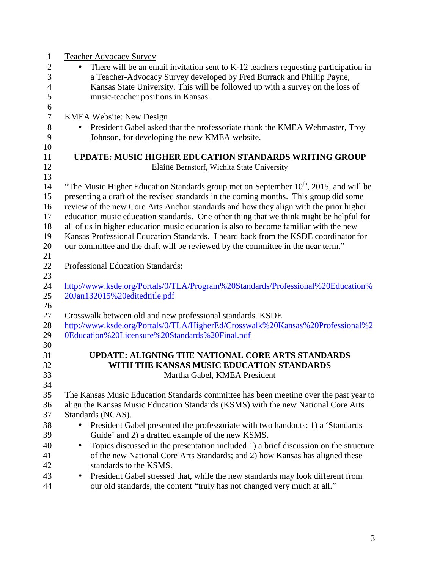| $\mathbf{1}$     | <b>Teacher Advocacy Survey</b>                                                                    |  |  |  |
|------------------|---------------------------------------------------------------------------------------------------|--|--|--|
| $\mathbf{2}$     | There will be an email invitation sent to $K-12$ teachers requesting participation in             |  |  |  |
| 3                | a Teacher-Advocacy Survey developed by Fred Burrack and Phillip Payne,                            |  |  |  |
| $\overline{4}$   | Kansas State University. This will be followed up with a survey on the loss of                    |  |  |  |
| 5                | music-teacher positions in Kansas.                                                                |  |  |  |
| 6                |                                                                                                   |  |  |  |
| $\boldsymbol{7}$ | <b>KMEA Website: New Design</b>                                                                   |  |  |  |
| $8\,$            | President Gabel asked that the professoriate thank the KMEA Webmaster, Troy<br>$\bullet$          |  |  |  |
| 9                | Johnson, for developing the new KMEA website.                                                     |  |  |  |
| 10               |                                                                                                   |  |  |  |
| 11               | <b>UPDATE: MUSIC HIGHER EDUCATION STANDARDS WRITING GROUP</b>                                     |  |  |  |
| 12               | Elaine Bernstorf, Wichita State University                                                        |  |  |  |
| 13               |                                                                                                   |  |  |  |
| 14               | "The Music Higher Education Standards group met on September 10 <sup>th</sup> , 2015, and will be |  |  |  |
| 15               | presenting a draft of the revised standards in the coming months. This group did some             |  |  |  |
| 16               | review of the new Core Arts Anchor standards and how they align with the prior higher             |  |  |  |
| 17               | education music education standards. One other thing that we think might be helpful for           |  |  |  |
| 18               | all of us in higher education music education is also to become familiar with the new             |  |  |  |
| 19               | Kansas Professional Education Standards. I heard back from the KSDE coordinator for               |  |  |  |
| 20               | our committee and the draft will be reviewed by the committee in the near term."                  |  |  |  |
| 21               |                                                                                                   |  |  |  |
| 22               | <b>Professional Education Standards:</b>                                                          |  |  |  |
| 23               |                                                                                                   |  |  |  |
| 24               | http://www.ksde.org/Portals/0/TLA/Program%20Standards/Professional%20Education%                   |  |  |  |
| 25               | 20Jan132015%20editedtitle.pdf                                                                     |  |  |  |
| 26               |                                                                                                   |  |  |  |
| 27               | Crosswalk between old and new professional standards. KSDE                                        |  |  |  |
| 28               | http://www.ksde.org/Portals/0/TLA/HigherEd/Crosswalk%20Kansas%20Professional%2                    |  |  |  |
| 29               | 0Education%20Licensure%20Standards%20Final.pdf                                                    |  |  |  |
| 30               |                                                                                                   |  |  |  |
| 31               | UPDATE: ALIGNING THE NATIONAL CORE ARTS STANDARDS                                                 |  |  |  |
| 32               | WITH THE KANSAS MUSIC EDUCATION STANDARDS                                                         |  |  |  |
| 33               | Martha Gabel, KMEA President                                                                      |  |  |  |
| 34               |                                                                                                   |  |  |  |
| 35               | The Kansas Music Education Standards committee has been meeting over the past year to             |  |  |  |
| 36               | align the Kansas Music Education Standards (KSMS) with the new National Core Arts                 |  |  |  |
| 37               | Standards (NCAS).                                                                                 |  |  |  |
| 38               | President Gabel presented the professoriate with two handouts: 1) a 'Standards<br>$\bullet$       |  |  |  |
| 39               | Guide' and 2) a drafted example of the new KSMS.                                                  |  |  |  |
| 40               | Topics discussed in the presentation included 1) a brief discussion on the structure<br>$\bullet$ |  |  |  |
| 41               | of the new National Core Arts Standards; and 2) how Kansas has aligned these                      |  |  |  |
| 42               | standards to the KSMS.                                                                            |  |  |  |
| 43               | President Gabel stressed that, while the new standards may look different from<br>$\bullet$       |  |  |  |
| 44               | our old standards, the content "truly has not changed very much at all."                          |  |  |  |